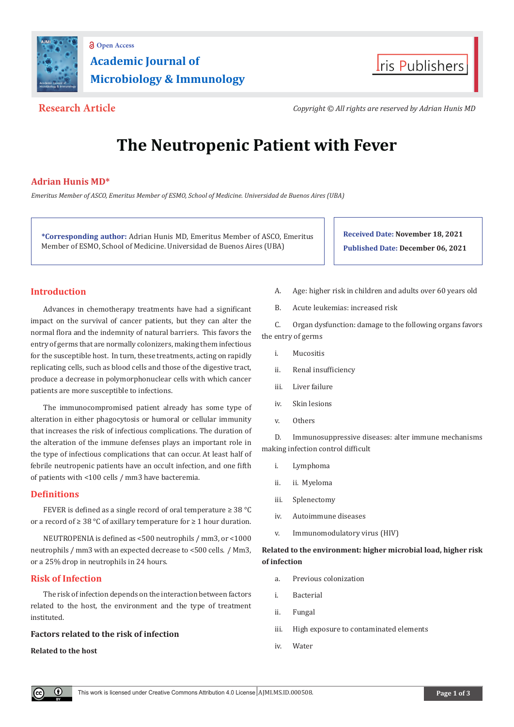

# **Academic Journal of Microbiology & Immunology Open Access**



**Research Article** *Copyright © All rights are reserved by Adrian Hunis MD*

# **The Neutropenic Patient with Fever**

# **Adrian Hunis MD\***

*Emeritus Member of ASCO, Emeritus Member of ESMO, School of Medicine. Universidad de Buenos Aires (UBA)*

**\*Corresponding author:** Adrian Hunis MD, Emeritus Member of ASCO, Emeritus Member of ESMO, School of Medicine. Universidad de Buenos Aires (UBA)

**Received Date: November 18, 2021 Published Date: December 06, 2021**

# **Introduction**

Advances in chemotherapy treatments have had a significant impact on the survival of cancer patients, but they can alter the normal flora and the indemnity of natural barriers. This favors the entry of germs that are normally colonizers, making them infectious for the susceptible host. In turn, these treatments, acting on rapidly replicating cells, such as blood cells and those of the digestive tract, produce a decrease in polymorphonuclear cells with which cancer patients are more susceptible to infections.

The immunocompromised patient already has some type of alteration in either phagocytosis or humoral or cellular immunity that increases the risk of infectious complications. The duration of the alteration of the immune defenses plays an important role in the type of infectious complications that can occur. At least half of febrile neutropenic patients have an occult infection, and one fifth of patients with <100 cells / mm3 have bacteremia.

# **Definitions**

FEVER is defined as a single record of oral temperature ≥ 38 °C or a record of ≥ 38 °C of axillary temperature for ≥ 1 hour duration.

NEUTROPENIA is defined as <500 neutrophils / mm3, or <1000 neutrophils / mm3 with an expected decrease to <500 cells. / Mm3, or a 25% drop in neutrophils in 24 hours.

# **Risk of Infection**

The risk of infection depends on the interaction between factors related to the host, the environment and the type of treatment instituted.

### **Factors related to the risk of infection**

### **Related to the host**

- A. Age: higher risk in children and adults over 60 years old
- B. Acute leukemias: increased risk

C. Organ dysfunction: damage to the following organs favors the entry of germs

- i. Mucositis
- ii. Renal insufficiency
- iii. Liver failure
- iv. Skin lesions
- v. Others

D. Immunosuppressive diseases: alter immune mechanisms making infection control difficult

- i. Lymphoma
- ii. ii. Myeloma
- iii. Splenectomy
- iv. Autoimmune diseases
- v. Immunomodulatory virus (HIV)

# **Related to the environment: higher microbial load, higher risk of infection**

- a. Previous colonization
- i. Bacterial
- ii. Fungal
- iii. High exposure to contaminated elements
- iv. Water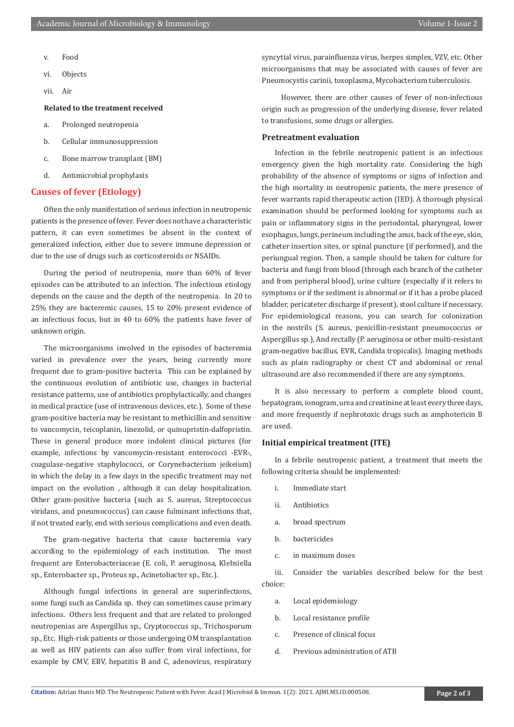- v. Food
- vi. Objects
- vii. Air

#### **Related to the treatment received**

- a. Prolonged neutropenia
- b. Cellular immunosuppression
- c. Bone marrow transplant (BM)
- d. Antimicrobial prophylaxis

#### **Causes of fever (Etiology)**

Often the only manifestation of serious infection in neutropenic patients is the presence of fever. Fever does not have a characteristic pattern, it can even sometimes be absent in the context of generalized infection, either due to severe immune depression or due to the use of drugs such as corticosteroids or NSAIDs.

During the period of neutropenia, more than 60% of fever episodes can be attributed to an infection. The infectious etiology depends on the cause and the depth of the neutropenia. In 20 to 25% they are bacteremic causes, 15 to 20% present evidence of an infectious focus, but in 40 to 60% the patients have fever of unknown origin.

The microorganisms involved in the episodes of bacteremia varied in prevalence over the years, being currently more frequent due to gram-positive bacteria. This can be explained by the continuous evolution of antibiotic use, changes in bacterial resistance patterns, use of antibiotics prophylactically, and changes in medical practice (use of intravenous devices, etc.). Some of these gram-positive bacteria may be resistant to methicillin and sensitive to vancomycin, teicoplanin, linezolid, or quinupristin-dalfopristin. These in general produce more indolent clinical pictures (for example, infections by vancomycin-resistant enterococci -EVR-, coagulase-negative staphylococci, or Corynebacterium jeikeium) in which the delay in a few days in the specific treatment may not impact on the evolution , although it can delay hospitalization. Other gram-positive bacteria (such as S. aureus, Streptococcus viridans, and pneumococcus) can cause fulminant infections that, if not treated early, end with serious complications and even death.

The gram-negative bacteria that cause bacteremia vary according to the epidemiology of each institution. The most frequent are Enterobacteriaceae (E. coli, P. aeruginosa, Klebsiella sp., Enterobacter sp., Proteus sp., Acinetobacter sp., Etc.).

Although fungal infections in general are superinfections, some fungi such as Candida sp. they can sometimes cause primary infections. Others less frequent and that are related to prolonged neutropenias are Aspergillus sp., Cryptococcus sp., Trichosporum sp., Etc. High-risk patients or those undergoing OM transplantation as well as HIV patients can also suffer from viral infections, for example by CMV, EBV, hepatitis B and C, adenovirus, respiratory

syncytial virus, parainfluenza virus, herpes simplex, VZV, etc. Other microorganisms that may be associated with causes of fever are Pneumocystis carinii, toxoplasma, Mycobacterium tuberculosis.

 However, there are other causes of fever of non-infectious origin such as progression of the underlying disease, fever related to transfusions, some drugs or allergies.

#### **Pretreatment evaluation**

Infection in the febrile neutropenic patient is an infectious emergency given the high mortality rate. Considering the high probability of the absence of symptoms or signs of infection and the high mortality in neutropenic patients, the mere presence of fever warrants rapid therapeutic action (IED). A thorough physical examination should be performed looking for symptoms such as pain or inflammatory signs in the periodontal, pharyngeal, lower esophagus, lungs, perineum including the anus, back of the eye, skin, catheter insertion sites, or spinal puncture (if performed), and the periungual region. Then, a sample should be taken for culture for bacteria and fungi from blood (through each branch of the catheter and from peripheral blood), urine culture (especially if it refers to symptoms or if the sediment is abnormal or if it has a probe placed bladder, pericateter discharge if present), stool culture if necessary. For epidemiological reasons, you can search for colonization in the nostrils (S. aureus, penicillin-resistant pneumococcus or Aspergillus sp.), And rectally (P. aeruginosa or other multi-resistant gram-negative bacillus, EVR, Candida tropicalis). Imaging methods such as plain radiography or chest CT and abdominal or renal ultrasound are also recommended if there are any symptoms.

It is also necessary to perform a complete blood count, hepatogram, ionogram, urea and creatinine at least every three days, and more frequently if nephrotoxic drugs such as amphotericin B are used.

#### **Initial empirical treatment (ITE)**

In a febrile neutropenic patient, a treatment that meets the following criteria should be implemented:

- i. Immediate start
- ii. Antibiotics
- a. broad spectrum
- b. bactericides
- c. in maximum doses

iii. Consider the variables described below for the best choice:

- a. Local epidemiology
- b. Local resistance profile
- c. Presence of clinical focus
- d. Previous administration of ATB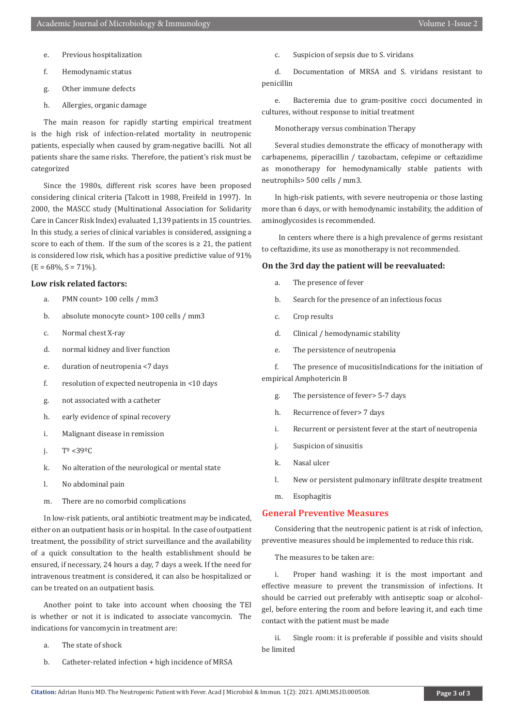- e. Previous hospitalization
- f. Hemodynamic status
- g. Other immune defects
- h. Allergies, organic damage

The main reason for rapidly starting empirical treatment is the high risk of infection-related mortality in neutropenic patients, especially when caused by gram-negative bacilli. Not all patients share the same risks. Therefore, the patient's risk must be categorized

Since the 1980s, different risk scores have been proposed considering clinical criteria (Talcott in 1988, Freifeld in 1997). In 2000, the MASCC study (Multinational Association for Solidarity Care in Cancer Risk Index) evaluated 1,139 patients in 15 countries. In this study, a series of clinical variables is considered, assigning a score to each of them. If the sum of the scores is  $\geq 21$ , the patient is considered low risk, which has a positive predictive value of 91%  $(E = 68\%, S = 71\%).$ 

#### **Low risk related factors:**

- a. PMN count> 100 cells / mm3
- b. absolute monocyte count> 100 cells / mm3
- c. Normal chest X-ray
- d. normal kidney and liver function
- e. duration of neutropenia <7 days
- f. resolution of expected neutropenia in <10 days
- g. not associated with a catheter
- h. early evidence of spinal recovery
- i. Malignant disease in remission
- i.  $T^{\circ}$  <39 $^{\circ}$ C
- k. No alteration of the neurological or mental state
- l. No abdominal pain
- m. There are no comorbid complications

In low-risk patients, oral antibiotic treatment may be indicated, either on an outpatient basis or in hospital. In the case of outpatient treatment, the possibility of strict surveillance and the availability of a quick consultation to the health establishment should be ensured, if necessary, 24 hours a day, 7 days a week. If the need for intravenous treatment is considered, it can also be hospitalized or can be treated on an outpatient basis.

Another point to take into account when choosing the TEI is whether or not it is indicated to associate vancomycin. The indications for vancomycin in treatment are:

- a. The state of shock
- b. Catheter-related infection + high incidence of MRSA

c. Suspicion of sepsis due to S. viridans

d. Documentation of MRSA and S. viridans resistant to penicillin

e. Bacteremia due to gram-positive cocci documented in cultures, without response to initial treatment

Monotherapy versus combination Therapy

Several studies demonstrate the efficacy of monotherapy with carbapenems, piperacillin / tazobactam, cefepime or ceftazidime as monotherapy for hemodynamically stable patients with neutrophils> 500 cells / mm3.

In high-risk patients, with severe neutropenia or those lasting more than 6 days, or with hemodynamic instability, the addition of aminoglycosides is recommended.

 In centers where there is a high prevalence of germs resistant to ceftazidime, its use as monotherapy is not recommended.

#### **On the 3rd day the patient will be reevaluated:**

- a. The presence of fever
- b. Search for the presence of an infectious focus
- c. Crop results
- d. Clinical / hemodynamic stability
- e. The persistence of neutropenia

f. The presence of mucositisIndications for the initiation of empirical Amphotericin B

- g. The persistence of fever> 5-7 days
- h. Recurrence of fever> 7 days
- i. Recurrent or persistent fever at the start of neutropenia
- j. Suspicion of sinusitis
- k. Nasal ulcer
- l. New or persistent pulmonary infiltrate despite treatment
- m. Esophagitis

#### **General Preventive Measures**

Considering that the neutropenic patient is at risk of infection, preventive measures should be implemented to reduce this risk.

The measures to be taken are:

i. Proper hand washing: it is the most important and effective measure to prevent the transmission of infections. It should be carried out preferably with antiseptic soap or alcoholgel, before entering the room and before leaving it, and each time contact with the patient must be made

ii. Single room: it is preferable if possible and visits should be limited